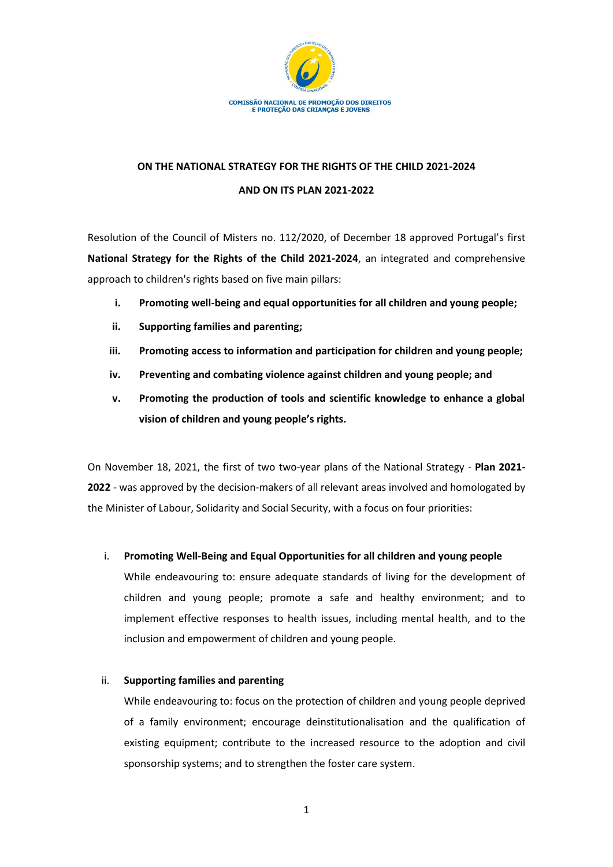

# **ON THE NATIONAL STRATEGY FOR THE RIGHTS OF THE CHILD 2021-2024 AND ON ITS PLAN 2021-2022**

Resolution of the Council of Misters no. 112/2020, of December 18 approved Portugal's first **National Strategy for the Rights of the Child 2021-2024**, an integrated and comprehensive approach to children's rights based on five main pillars:

- **i. Promoting well-being and equal opportunities for all children and young people;**
- **ii. Supporting families and parenting;**
- **iii. Promoting access to information and participation for children and young people;**
- **iv. Preventing and combating violence against children and young people; and**
- **v. Promoting the production of tools and scientific knowledge to enhance a global vision of children and young people's rights.**

On November 18, 2021, the first of two two-year plans of the National Strategy - **Plan 2021- 2022** - was approved by the decision-makers of all relevant areas involved and homologated by the Minister of Labour, Solidarity and Social Security, with a focus on four priorities:

### i. **Promoting Well-Being and Equal Opportunities for all children and young people**

While endeavouring to: ensure adequate standards of living for the development of children and young people; promote a safe and healthy environment; and to implement effective responses to health issues, including mental health, and to the inclusion and empowerment of children and young people.

### ii. **Supporting families and parenting**

While endeavouring to: focus on the protection of children and young people deprived of a family environment; encourage deinstitutionalisation and the qualification of existing equipment; contribute to the increased resource to the adoption and civil sponsorship systems; and to strengthen the foster care system.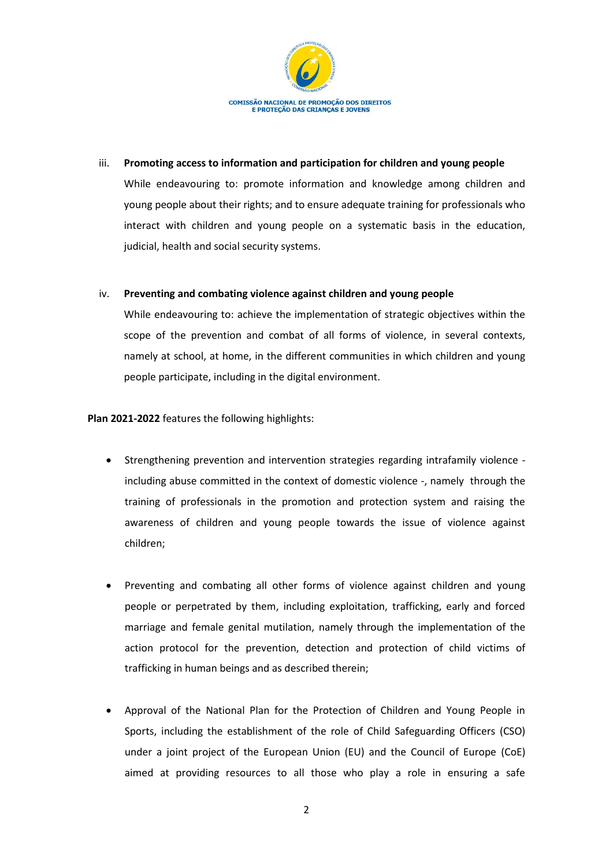

## iii. **Promoting access to information and participation for children and young people**

While endeavouring to: promote information and knowledge among children and young people about their rights; and to ensure adequate training for professionals who interact with children and young people on a systematic basis in the education, judicial, health and social security systems.

### iv. **Preventing and combating violence against children and young people**

While endeavouring to: achieve the implementation of strategic objectives within the scope of the prevention and combat of all forms of violence, in several contexts, namely at school, at home, in the different communities in which children and young people participate, including in the digital environment.

**Plan 2021-2022** features the following highlights:

- Strengthening prevention and intervention strategies regarding intrafamily violence including abuse committed in the context of domestic violence -, namely through the training of professionals in the promotion and protection system and raising the awareness of children and young people towards the issue of violence against children;
- Preventing and combating all other forms of violence against children and young people or perpetrated by them, including exploitation, trafficking, early and forced marriage and female genital mutilation, namely through the implementation of the action protocol for the prevention, detection and protection of child victims of trafficking in human beings and as described therein;
- Approval of the National Plan for the Protection of Children and Young People in Sports, including the establishment of the role of Child Safeguarding Officers (CSO) under a joint project of the European Union (EU) and the Council of Europe (CoE) aimed at providing resources to all those who play a role in ensuring a safe